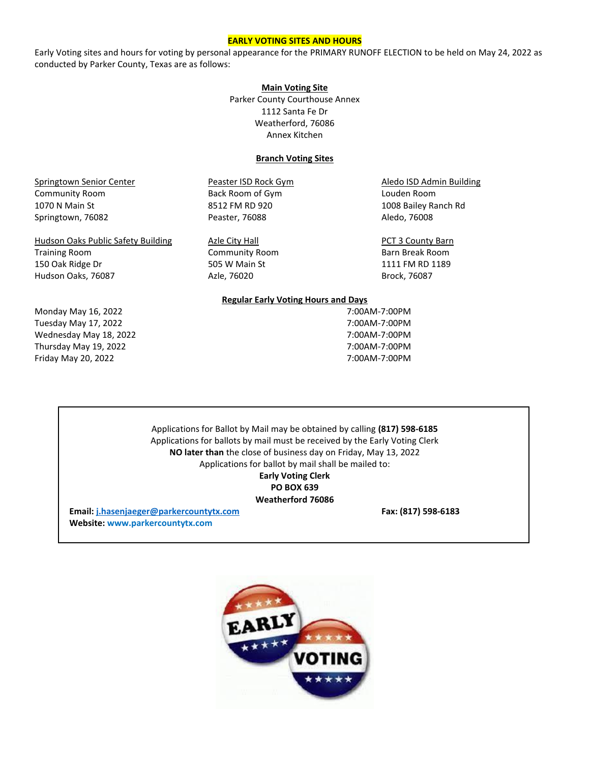### **EARLY VOTING SITES AND HOURS**

Early Voting sites and hours for voting by personal appearance for the PRIMARY RUNOFF ELECTION to be held on May 24, 2022 as conducted by Parker County, Texas are as follows:

### **Main Voting Site**

Parker County Courthouse Annex 1112 Santa Fe Dr Weatherford, 76086 Annex Kitchen

# **Branch Voting Sites**

Springtown Senior Center **Peaster ISD Rock Gym** Aledo ISD Admin Building Community Room **Back Room of Gym** Back Room of Gym Boom Louden Room 1070 N Main St 8512 FM RD 920 1008 Bailey Ranch Rd Springtown, 76082 **Peaster, 76088** Aledo, 76008

Hudson Oaks Public Safety Building Azle City Hall PCT 3 County Barn Training Room **Community Room** Barn Break Room **Barn Break Room** 150 Oak Ridge Dr 505 W Main St 1111 FM RD 1189 Hudson Oaks, 76087 Azle, 76020 Brock, 76087

Monday May 16, 2022 **7:00AM-7:00PM** Tuesday May 17, 2022 **7:00AM-7:00PM** Wednesday May 18, 2022 **7:00AM-7:00PM** Thursday May 19, 2022 7:00AM-7:00PM Friday May 20, 2022 7:00AM-7:00PM

### **Regular Early Voting Hours and Days**

Applications for Ballot by Mail may be obtained by calling **(817) 598-6185** Applications for ballots by mail must be received by the Early Voting Clerk **NO later than** the close of business day on Friday, May 13, 2022 Applications for ballot by mail shall be mailed to: **Early Voting Clerk PO BOX 639 Weatherford 76086**

**Email: [j.hasenjaeger@parkercountytx.com](mailto:j.hasenjaeger@parkercountytx.com) Fax: (817) 598-6183 Website: www.parkercountytx.com**

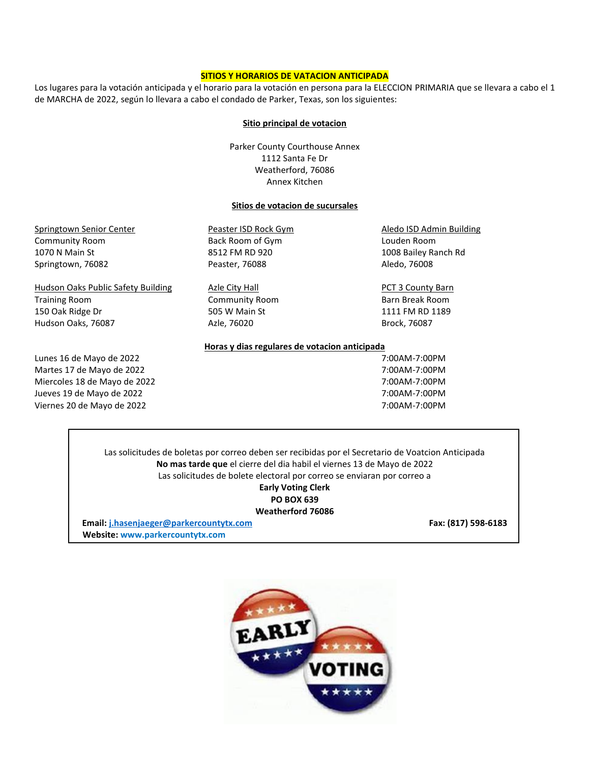# **SITIOS Y HORARIOS DE VATACION ANTICIPADA**

Los lugares para la votación anticipada y el horario para la votación en persona para la ELECCION PRIMARIA que se llevara a cabo el 1 de MARCHA de 2022, según lo llevara a cabo el condado de Parker, Texas, son los siguientes:

### **Sitio principal de votacion**

Parker County Courthouse Annex 1112 Santa Fe Dr Weatherford, 76086 Annex Kitchen

# **Sitios de votacion de sucursales**

| Springtown Senior Center           | Peaster ISD Rock Gym                          | Aledo ISD Admin Building |
|------------------------------------|-----------------------------------------------|--------------------------|
| <b>Community Room</b>              | Back Room of Gym                              | Louden Room              |
| 1070 N Main St                     | 8512 FM RD 920                                | 1008 Bailey Ranch Rd     |
| Springtown, 76082                  | Peaster, 76088                                | Aledo, 76008             |
| Hudson Oaks Public Safety Building | Azle City Hall                                | <b>PCT 3 County Barn</b> |
| <b>Training Room</b>               | <b>Community Room</b>                         | Barn Break Room          |
| 150 Oak Ridge Dr                   | 505 W Main St                                 | 1111 FM RD 1189          |
| Hudson Oaks, 76087                 | Azle, 76020                                   | Brock, 76087             |
|                                    | Horas y dias regulares de votacion anticipada |                          |
| Lunes 16 de Mayo de 2022           |                                               | 7:00AM-7:00PM            |
| Martes 17 de Mayo de 2022          |                                               | 7:00AM-7:00PM            |
| Miercoles 18 de Mayo de 2022       |                                               | 7:00AM-7:00PM            |
| Jueves 19 de Mayo de 2022          |                                               | 7:00AM-7:00PM            |
| Viernes 20 de Mayo de 2022         |                                               | 7:00AM-7:00PM            |

Las solicitudes de boletas por correo deben ser recibidas por el Secretario de Voatcion Anticipada **No mas tarde que** el cierre del dia habil el viernes 13 de Mayo de 2022 Las solicitudes de bolete electoral por correo se enviaran por correo a **Early Voting Clerk PO BOX 639 Weatherford 76086**

**Email: [j.hasenjaeger@parkercountytx.com](mailto:j.hasenjaeger@parkercountytx.com) Fax: (817) 598-6183 Website: www.parkercountytx.com**

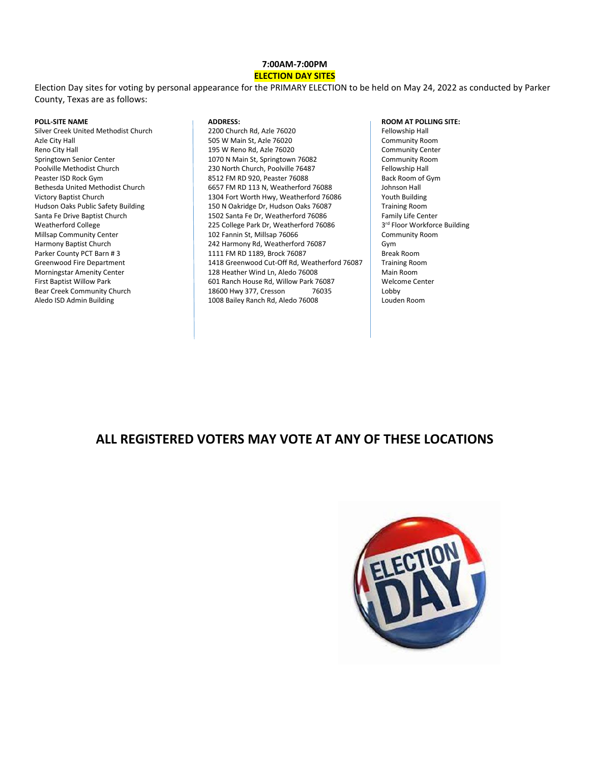# **7:00AM-7:00PM**

# **ELECTION DAY SITES**

Election Day sites for voting by personal appearance for the PRIMARY ELECTION to be held on May 24, 2022 as conducted by Parker County, Texas are as follows:

Silver Creek United Methodist Church **2200 Church Rd, Azle 76020** Fellowship Hall Parker County PCT Barn # 3 1111 FM RD 1189, Brock 76087

Azle City Hall 505 W Main St, Azle 76020 Community Room Reno City Hall **195 W Reno Rd, Azle 76020** Community Center Springtown Senior Center **1070 N** Main St, Springtown 76082 Community Room<br>Poolville Methodist Church **Community Room** 230 North Church, Poolville 76487 Fellowship Hall 230 North Church, Poolville 76487 Peaster ISD Rock Gym 8512 FM RD 920, Peaster 76088 Back Room of Gym Bethesda United Methodist Church 6657 FM RD 113 N, Weatherford 76088 Johnson Hall<br>Victory Baptist Church 1304 Fort Worth Hwy, Weatherford 76086 Youth Building Victory Baptist Church 1304 Fort Worth Hwy, Weatherford 76086 Youth Building<br>Hudson Oaks Public Safety Building 150 N Oakridge Dr, Hudson Oaks 76087 Training Room Hudson Oaks Public Safety Building 150 N Oakridge Dr, Hudson Oaks 76087 Santa Fe Drive Baptist Church 1502 Santa Fe Dr, Weatherford 76086 Family Life Center Weatherford College 225 College Park Dr, Weatherford 76086 Millsap Community Center **102 Fannin St, Millsap 76066** Community Room Community Room<br>Harmony Baptist Church **Community Room** 242 Harmony Rd, Weatherford 76087 Paptist Church 242 Harmony Rd, Weatherford 76087 Gym<br>1111 FM RD 1189, Brock 76087 Gymru Break Room Greenwood Fire Department 1418 Greenwood Cut-Off Rd, Weatherford 76087 Training Room<br>Morningstar Amenity Center 128 Heather Wind Ln, Aledo 76008 Main Room 128 Heather Wind Ln, Aledo 76008 First Baptist Willow Park **First Baptist Willow Park 76087** Welcome Center **Bear Creek Community Church 18600 House 18600** Hwy 377, Cresson 76035 Bear Creek Community Church 18600 Hwy 377, Cresson 76035 Lobby<br>Aledo ISD Admin Building 1008 Bailey Ranch Rd, Aledo 76008 1008 Bailey Ranch Rd, Aledo 76008

### **POLL-SITE NAME ADDRESS: ROOM AT POLLING SITE:**

3<sup>rd</sup> Floor Workforce Building

# **ALL REGISTERED VOTERS MAY VOTE AT ANY OF THESE LOCATIONS**